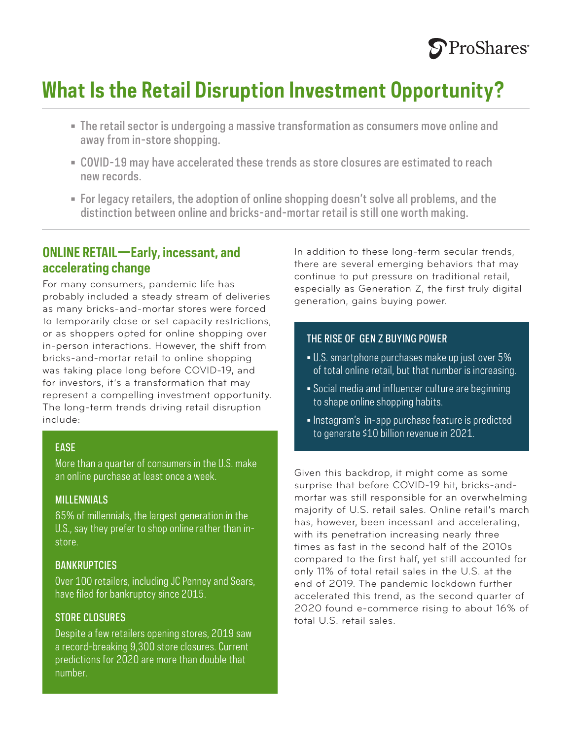

## **What Is the Retail Disruption Investment Opportunity?**

- The retail sector is undergoing a massive transformation as consumers move online and away from in-store shopping.
- COVID-19 may have accelerated these trends as store closures are estimated to reach new records.
- For legacy retailers, the adoption of online shopping doesn't solve all problems, and the distinction between online and bricks-and-mortar retail is still one worth making.

### **ONLINE RETAIL—Early, incessant, and accelerating change**

For many consumers, pandemic life has probably included a steady stream of deliveries as many bricks-and-mortar stores were forced to temporarily close or set capacity restrictions, or as shoppers opted for online shopping over in-person interactions. However, the shift from bricks-and-mortar retail to online shopping was taking place long before COVID-19, and for investors, it's a transformation that may represent a compelling investment opportunity. The long-term trends driving retail disruption include:

#### **EASE**

More than a quarter of consumers in the U.S. make an online purchase at least once a week.

#### MILLENNIALS

65% of millennials, the largest generation in the U.S., say they prefer to shop online rather than instore.

#### **BANKRUPTCIES**

Over 100 retailers, including JC Penney and Sears, have filed for bankruptcy since 2015.

#### STORE CLOSURES

Despite a few retailers opening stores, 2019 saw a record-breaking 9,300 store closures. Current predictions for 2020 are more than double that number.

In addition to these long-term secular trends, there are several emerging behaviors that may continue to put pressure on traditional retail, especially as Generation Z, the first truly digital generation, gains buying power.

#### THE RISE OF GEN Z BUYING POWER

- U.S. smartphone purchases make up just over 5% of total online retail, but that number is increasing.
- Social media and influencer culture are beginning to shape online shopping habits.
- Instagram's in-app purchase feature is predicted to generate \$10 billion revenue in 2021.

Given this backdrop, it might come as some surprise that before COVID-19 hit, bricks-andmortar was still responsible for an overwhelming majority of U.S. retail sales. Online retail's march has, however, been incessant and accelerating, with its penetration increasing nearly three times as fast in the second half of the 2010s compared to the first half, yet still accounted for only 11% of total retail sales in the U.S. at the end of 2019. The pandemic lockdown further accelerated this trend, as the second quarter of 2020 found e-commerce rising to about 16% of total U.S. retail sales.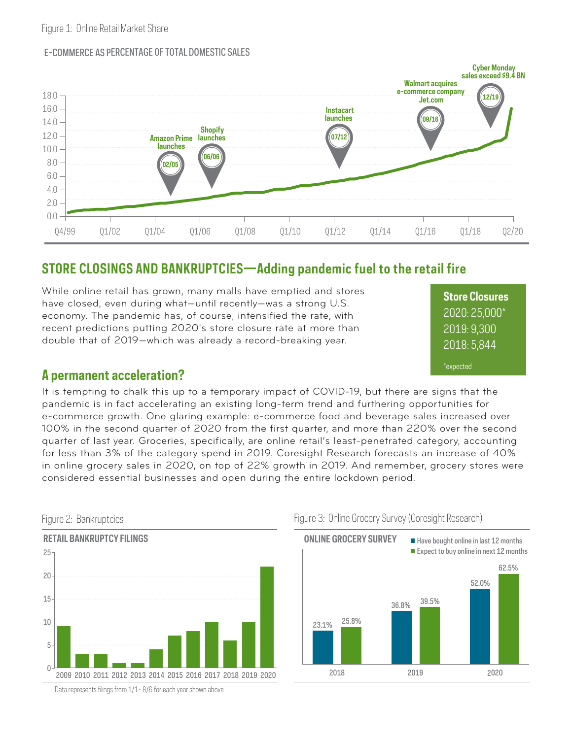#### E-COMMERCE AS PERCENTAGE OF TOTAL DOMESTIC SALES



## **STORE CLOSINGS AND BANKRUPTCIES—Adding pandemic fuel to the retail fire**

While online retail has grown, many malls have emptied and stores have closed, even during what—until recently—was a strong U.S. economy. The pandemic has, of course, intensified the rate, with recent predictions putting 2020's store closure rate at more than double that of 2019—which was already a record-breaking year.

**Store Closures** 2020: 25,000\* 2019: 9,300 2018: 5,844 \*expected

### **A permanent acceleration?**

It is tempting to chalk this up to a temporary impact of COVID-19, but there are signs that the pandemic is in fact accelerating an existing long-term trend and furthering opportunities for e-commerce growth. One glaring example: e-commerce food and beverage sales increased over 100% in the second quarter of 2020 from the first quarter, and more than 220% over the second quarter of last year. Groceries, specifically, are online retail's least-penetrated category, accounting for less than 3% of the category spend in 2019. Coresight Research forecasts an increase of 40% in online grocery sales in 2020, on top of 22% growth in 2019. And remember, grocery stores were considered essential businesses and open during the entire lockdown period.







Data represents filings from 1/1-8/6 for each year shown above.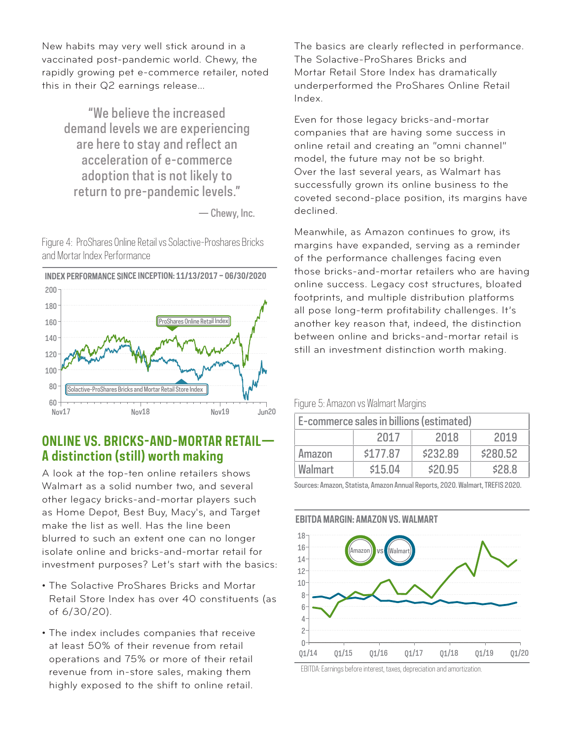New habits may very well stick around in a vaccinated post-pandemic world. Chewy, the rapidly growing pet e-commerce retailer, noted this in their Q2 earnings release…

"We believe the increased demand levels we are experiencing are here to stay and reflect an acceleration of e-commerce adoption that is not likely to return to pre-pandemic levels."

— Chewy, Inc.

Figure 4: ProShares Online Retail vs Solactive-Proshares Bricks and Mortar Index Performance



## **ONLINE VS. BRICKS-AND-MORTAR RETAIL— A distinction (still) worth making**

A look at the top-ten online retailers shows Walmart as a solid number two, and several other legacy bricks-and-mortar players such as Home Depot, Best Buy, Macy's, and Target make the list as well. Has the line been blurred to such an extent one can no longer isolate online and bricks-and-mortar retail for investment purposes? Let's start with the basics:

- The Solactive ProShares Bricks and Mortar Retail Store Index has over 40 constituents (as of 6/30/20).
- The index includes companies that receive at least 50% of their revenue from retail operations and 75% or more of their retail revenue from in-store sales, making them highly exposed to the shift to online retail.

The basics are clearly reflected in performance. The Solactive-ProShares Bricks and Mortar Retail Store Index has dramatically underperformed the ProShares Online Retail Index.

Even for those legacy bricks-and-mortar companies that are having some success in online retail and creating an "omni channel" model, the future may not be so bright. Over the last several years, as Walmart has successfully grown its online business to the coveted second-place position, its margins have declined.

Meanwhile, as Amazon continues to grow, its margins have expanded, serving as a reminder of the performance challenges facing even those bricks-and-mortar retailers who are having online success. Legacy cost structures, bloated footprints, and multiple distribution platforms all pose long-term profitability challenges. It's another key reason that, indeed, the distinction between online and bricks-and-mortar retail is still an investment distinction worth making.

Figure 5: Amazon vs Walmart Margins

| E-commerce sales in billions (estimated) |          |          |          |
|------------------------------------------|----------|----------|----------|
|                                          | 2017     | 2018     | 2019     |
| Amazon                                   | \$177.87 | \$232.89 | \$280.52 |
| <b>Walmart</b>                           | \$15.04  | \$20.95  | \$28.8   |

Sources: Amazon, Statista, Amazon Annual Reports, 2020. Walmart, TREFIS 2020.

#### **EBITDA MARGIN: AMAZON VS. WALMART**



EBITDA: Earnings before interest, taxes, depreciation and amortization.